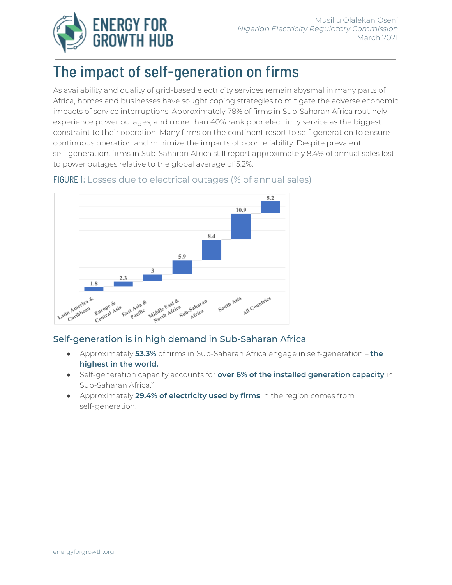

# The impact of self-generation on firms

As availability and quality of grid-based electricity services remain abysmal in many parts of Africa, homes and businesses have sought coping strategies to mitigate the adverse economic impacts of service interruptions. Approximately 78% of firms in Sub-Saharan Africa routinely experience power outages, and more than 40% rank poor electricity service as the biggest constraint to their operation. Many firms on the continent resort to self-generation to ensure continuous operation and minimize the impacts of poor reliability. Despite prevalent self-generation, firms in Sub-Saharan Africa still report approximately 8.4% of annual sales lost to power outages relative to the global average of 5.2%. 1



## FIGURE 1: Losses due to electrical outages (% of annual sales)

## Self-generation is in high demand in Sub-Saharan Africa

- Approximately **53.3%** of firms in Sub-Saharan Africa engage in self-generation **the highest in the world.**
- Self-generation capacity accounts for **over 6% of the installed generation capacity** in Sub-Saharan Africa. 2
- Approximately **29.4% of electricity used by firms** in the region comes from self-generation.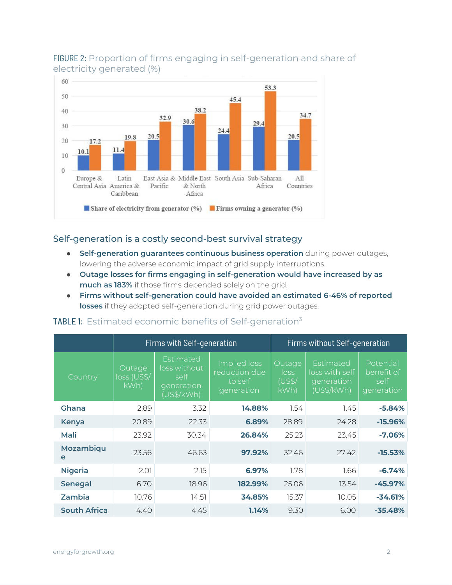

## FIGURE 2: Proportion of firms engaging in self-generation and share of electricity generated (%)

#### Self-generation is a costly second-best survival strategy

- **Self-generation guarantees continuous business operation** during power outages, lowering the adverse economic impact of grid supply interruptions.
- **Outage losses for firms engaging in self-generation would have increased by as much as 183%** if those firms depended solely on the grid.
- **Firms without self-generation could have avoided an estimated 6-46% of reported losses** if they adopted self-generation during grid power outages.

|                     | Firms with Self-generation    |                                                                       |                                                        | Firms without Self-generation   |                                                         |                                               |
|---------------------|-------------------------------|-----------------------------------------------------------------------|--------------------------------------------------------|---------------------------------|---------------------------------------------------------|-----------------------------------------------|
| Country             | Outage<br>loss (US\$/<br>kWh) | Estimated<br>loss without<br>self<br>generati <u>on</u><br>(US\$/kWh) | Implied loss<br>reduction due<br>to self<br>generation | Outage<br>loss<br>(US\$/<br>kWh | Estimated<br>loss with self<br>generation<br>(US\$/kWh) | Potential<br>benefit of<br>self<br>generation |
| Ghana               | 2.89                          | 3.32                                                                  | 14.88%                                                 | 1.54                            | 1.45                                                    | $-5.84%$                                      |
| <b>Kenya</b>        | 20.89                         | 22.33                                                                 | 6.89%                                                  | 28.89                           | 24.28                                                   | $-15.96%$                                     |
| Mali                | 23.92                         | 30.34                                                                 | 26.84%                                                 | 25.23                           | 23.45                                                   | $-7.06%$                                      |
| Mozambiqu<br>e      | 23.56                         | 46.63                                                                 | 97.92%                                                 | 32.46                           | 27.42                                                   | $-15.53%$                                     |
| <b>Nigeria</b>      | 2.01                          | 2.15                                                                  | 6.97%                                                  | 1.78                            | 1.66                                                    | $-6.74%$                                      |
| <b>Senegal</b>      | 6.70                          | 18.96                                                                 | 182.99%                                                | 25.06                           | 13.54                                                   | $-45.97%$                                     |
| Zambia              | 10.76                         | 14.51                                                                 | 34.85%                                                 | 15.37                           | 10.05                                                   | $-34.61%$                                     |
| <b>South Africa</b> | 4.40                          | 4.45                                                                  | 1.14%                                                  | 9.30                            | 6.00                                                    | $-35.48%$                                     |

## TABLE 1: Estimated economic benefits of Self-generation<sup>3</sup>